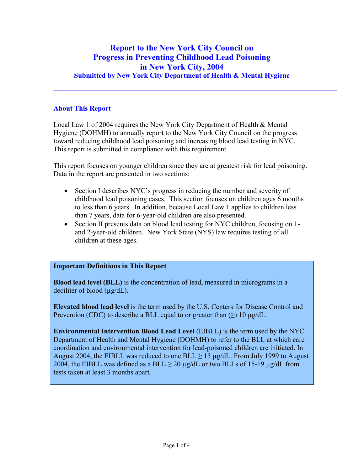### **Report to the New York City Council on Progress in Preventing Childhood Lead Poisoning in New York City, 2004 Submitted by New York City Department of Health & Mental Hygiene**

#### **About This Report**

Local Law 1 of 2004 requires the New York City Department of Health & Mental Hygiene (DOHMH) to annually report to the New York City Council on the progress toward reducing childhood lead poisoning and increasing blood lead testing in NYC. This report is submitted in compliance with this requirement.

This report focuses on younger children since they are at greatest risk for lead poisoning. Data in the report are presented in two sections:

- Section I describes NYC's progress in reducing the number and severity of childhood lead poisoning cases. This section focuses on children ages 6 months to less than 6 years. In addition, because Local Law 1 applies to children less than 7 years, data for 6-year-old children are also presented.
- Section II presents data on blood lead testing for NYC children, focusing on 1and 2-year-old children. New York State (NYS) law requires testing of all children at these ages.

### **Important Definitions in This Report**

**Blood lead level (BLL)** is the concentration of lead, measured in micrograms in a deciliter of blood  $(\mu g/dL)$ .

**Elevated blood lead level** is the term used by the U.S. Centers for Disease Control and Prevention (CDC) to describe a BLL equal to or greater than  $(\ge)$  10  $\mu$ g/dL.

**Environmental Intervention Blood Lead Level** (EIBLL) is the term used by the NYC Department of Health and Mental Hygiene (DOHMH) to refer to the BLL at which care coordination and environmental intervention for lead-poisoned children are initiated. In August 2004, the EIBLL was reduced to one BLL  $\geq$  15 µg/dL. From July 1999 to August 2004, the EIBLL was defined as a BLL  $\geq$  20 µg/dL or two BLLs of 15-19 µg/dL from tests taken at least 3 months apart.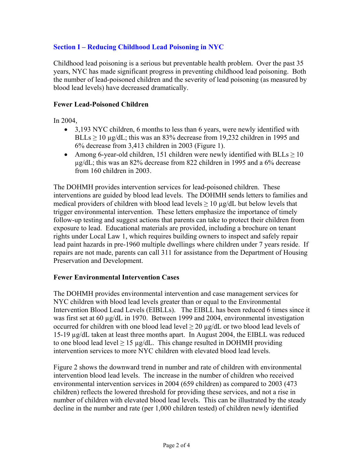### **Section I – Reducing Childhood Lead Poisoning in NYC**

Childhood lead poisoning is a serious but preventable health problem. Over the past 35 years, NYC has made significant progress in preventing childhood lead poisoning. Both the number of lead-poisoned children and the severity of lead poisoning (as measured by blood lead levels) have decreased dramatically.

#### **Fewer Lead-Poisoned Children**

In 2004,

- 3,193 NYC children, 6 months to less than 6 years, were newly identified with BLLs  $\geq$  10 µg/dL; this was an 83% decrease from 19,232 children in 1995 and 6% decrease from 3,413 children in 2003 (Figure 1).
- Among 6-year-old children, 151 children were newly identified with  $BLLs \ge 10$ µg/dL; this was an 82% decrease from 822 children in 1995 and a 6% decrease from 160 children in 2003.

The DOHMH provides intervention services for lead-poisoned children. These interventions are guided by blood lead levels. The DOHMH sends letters to families and medical providers of children with blood lead levels  $\geq 10 \mu$ g/dL but below levels that trigger environmental intervention. These letters emphasize the importance of timely follow-up testing and suggest actions that parents can take to protect their children from exposure to lead. Educational materials are provided, including a brochure on tenant rights under Local Law 1, which requires building owners to inspect and safely repair lead paint hazards in pre-1960 multiple dwellings where children under 7 years reside. If repairs are not made, parents can call 311 for assistance from the Department of Housing Preservation and Development.

#### **Fewer Environmental Intervention Cases**

The DOHMH provides environmental intervention and case management services for NYC children with blood lead levels greater than or equal to the Environmental Intervention Blood Lead Levels (EIBLLs). The EIBLL has been reduced 6 times since it was first set at 60 µg/dL in 1970. Between 1999 and 2004, environmental investigation occurred for children with one blood lead level  $\geq 20 \mu g/dL$  or two blood lead levels of 15-19 µg/dL taken at least three months apart. In August 2004, the EIBLL was reduced to one blood lead level  $\geq 15 \mu g/dL$ . This change resulted in DOHMH providing intervention services to more NYC children with elevated blood lead levels.

Figure 2 shows the downward trend in number and rate of children with environmental intervention blood lead levels. The increase in the number of children who received environmental intervention services in 2004 (659 children) as compared to 2003 (473 children) reflects the lowered threshold for providing these services, and not a rise in number of children with elevated blood lead levels. This can be illustrated by the steady decline in the number and rate (per 1,000 children tested) of children newly identified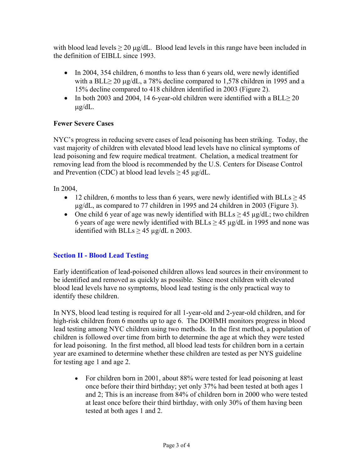with blood lead levels  $\geq 20 \mu g/dL$ . Blood lead levels in this range have been included in the definition of EIBLL since 1993.

- In 2004, 354 children, 6 months to less than 6 years old, were newly identified with a BLL $\geq$  20 µg/dL, a 78% decline compared to 1,578 children in 1995 and a 15% decline compared to 418 children identified in 2003 (Figure 2).
- In both 2003 and 2004, 14 6-year-old children were identified with a BLL $\geq$  20 µg/dL.

### **Fewer Severe Cases**

NYC's progress in reducing severe cases of lead poisoning has been striking. Today, the vast majority of children with elevated blood lead levels have no clinical symptoms of lead poisoning and few require medical treatment. Chelation, a medical treatment for removing lead from the blood is recommended by the U.S. Centers for Disease Control and Prevention (CDC) at blood lead levels  $\geq$  45 µg/dL.

In 2004,

- 12 children, 6 months to less than 6 years, were newly identified with BLLs  $\geq$  45 µg/dL, as compared to 77 children in 1995 and 24 children in 2003 (Figure 3).
- One child 6 year of age was newly identified with BLLs  $\geq$  45 µg/dL; two children 6 years of age were newly identified with BLLs  $> 45 \mu g/dL$  in 1995 and none was identified with BLLs  $\geq$  45 µg/dL n 2003.

### **Section II - Blood Lead Testing**

Early identification of lead-poisoned children allows lead sources in their environment to be identified and removed as quickly as possible. Since most children with elevated blood lead levels have no symptoms, blood lead testing is the only practical way to identify these children.

In NYS, blood lead testing is required for all 1-year-old and 2-year-old children, and for high-risk children from 6 months up to age 6. The DOHMH monitors progress in blood lead testing among NYC children using two methods. In the first method, a population of children is followed over time from birth to determine the age at which they were tested for lead poisoning. In the first method, all blood lead tests for children born in a certain year are examined to determine whether these children are tested as per NYS guideline for testing age 1 and age 2.

• For children born in 2001, about 88% were tested for lead poisoning at least once before their third birthday; yet only 37% had been tested at both ages 1 and 2; This is an increase from 84% of children born in 2000 who were tested at least once before their third birthday, with only 30% of them having been tested at both ages 1 and 2.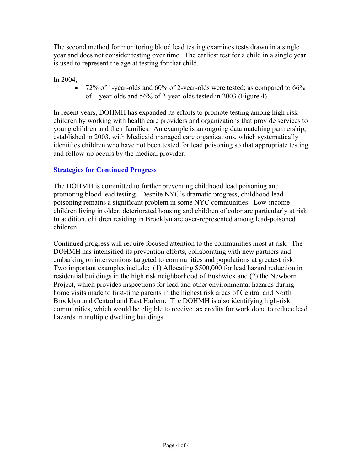The second method for monitoring blood lead testing examines tests drawn in a single year and does not consider testing over time. The earliest test for a child in a single year is used to represent the age at testing for that child.

In 2004,

• 72% of 1-year-olds and 60% of 2-year-olds were tested; as compared to 66% of 1-year-olds and 56% of 2-year-olds tested in 2003 (Figure 4).

In recent years, DOHMH has expanded its efforts to promote testing among high-risk children by working with health care providers and organizations that provide services to young children and their families. An example is an ongoing data matching partnership, established in 2003, with Medicaid managed care organizations, which systematically identifies children who have not been tested for lead poisoning so that appropriate testing and follow-up occurs by the medical provider.

### **Strategies for Continued Progress**

The DOHMH is committed to further preventing childhood lead poisoning and promoting blood lead testing. Despite NYC's dramatic progress, childhood lead poisoning remains a significant problem in some NYC communities. Low-income children living in older, deteriorated housing and children of color are particularly at risk. In addition, children residing in Brooklyn are over-represented among lead-poisoned children.

Continued progress will require focused attention to the communities most at risk. The DOHMH has intensified its prevention efforts, collaborating with new partners and embarking on interventions targeted to communities and populations at greatest risk. Two important examples include: (1) Allocating \$500,000 for lead hazard reduction in residential buildings in the high risk neighborhood of Bushwick and (2) the Newborn Project, which provides inspections for lead and other environmental hazards during home visits made to first-time parents in the highest risk areas of Central and North Brooklyn and Central and East Harlem. The DOHMH is also identifying high-risk communities, which would be eligible to receive tax credits for work done to reduce lead hazards in multiple dwelling buildings.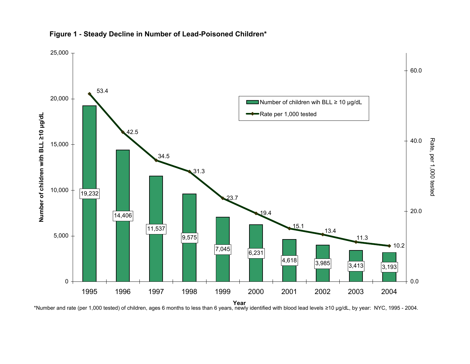

#### **Figure 1 - Steady Decline in Number of Lead-Poisoned Children\***

**Year** \*Number and rate (per 1,000 tested) of children, ages 6 months to less than 6 years, newly identified with blood lead levels <sup>≥</sup>10 µg/dL, by year: NYC, 1995 - 2004.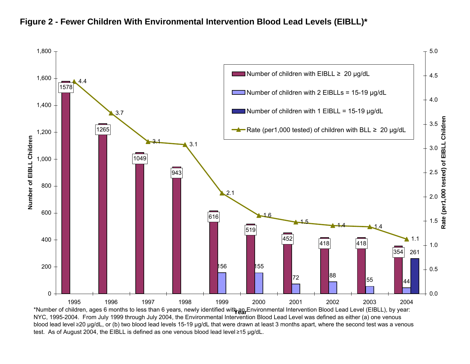

## **Figure 2 - Fewer Children With Environmental Intervention Blood Lead Levels (EIBLL)\***

\*Number of children, ages 6 months to less than 6 years, newly identified wit**t<sub>γan</sub>Environmental Intervention Blood Lead Level (EIBLL), by year:**  NYC, 1995-2004. From July 1999 through July 2004, the Environmental Intervention Blood Lead Level was defined as either (a) one venous blood lead level ≥20 µg/dL, or (b) two blood lead levels 15-19 µg/dL that were drawn at least 3 months apart, where the second test was a venous test. As of August 2004, the EIBLL is defined as one venous blood lead level ≥15 µg/dL.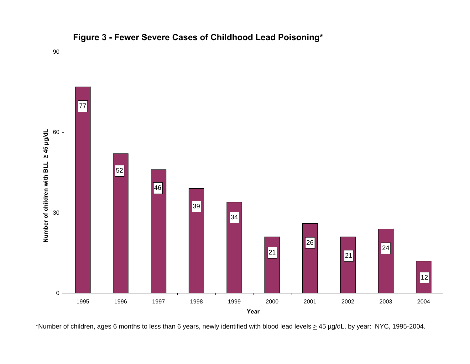

**Figure 3 - Fewer Severe Cases of Childhood Lead Poisoning\***

\*Number of children, ages 6 months to less than 6 years, newly identified with blood lead levels  $\geq$  45 µg/dL, by year: NYC, 1995-2004.